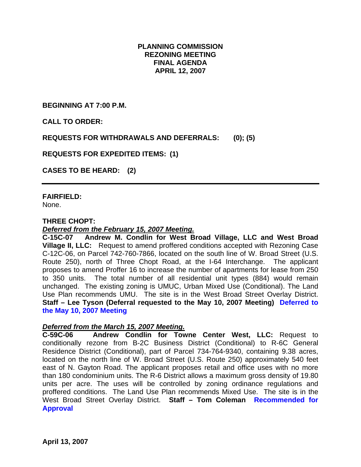### **PLANNING COMMISSION REZONING MEETING FINAL AGENDA APRIL 12, 2007**

**BEGINNING AT 7:00 P.M.** 

**CALL TO ORDER:** 

**REQUESTS FOR WITHDRAWALS AND DEFERRALS: (0); (5)** 

**REQUESTS FOR EXPEDITED ITEMS: (1)** 

**CASES TO BE HEARD: (2)** 

**FAIRFIELD:**  None.

### **THREE CHOPT:**

### *Deferred from the February 15, 2007 Meeting.*

**C-15C-07 Andrew M. Condlin for West Broad Village, LLC and West Broad Village II, LLC:** Request to amend proffered conditions accepted with Rezoning Case C-12C-06, on Parcel 742-760-7866, located on the south line of W. Broad Street (U.S. Route 250), north of Three Chopt Road, at the I-64 Interchange. The applicant proposes to amend Proffer 16 to increase the number of apartments for lease from 250 to 350 units. The total number of all residential unit types (884) would remain unchanged. The existing zoning is UMUC, Urban Mixed Use (Conditional). The Land Use Plan recommends UMU. The site is in the West Broad Street Overlay District. **Staff – Lee Tyson (Deferral requested to the May 10, 2007 Meeting) Deferred to the May 10, 2007 Meeting**

### *Deferred from the March 15, 2007 Meeting.*

**C-59C-06 Andrew Condlin for Towne Center West, LLC:** Request to conditionally rezone from B-2C Business District (Conditional) to R-6C General Residence District (Conditional), part of Parcel 734-764-9340, containing 9.38 acres, located on the north line of W. Broad Street (U.S. Route 250) approximately 540 feet east of N. Gayton Road. The applicant proposes retail and office uses with no more than 180 condominium units. The R-6 District allows a maximum gross density of 19.80 units per acre. The uses will be controlled by zoning ordinance regulations and proffered conditions. The Land Use Plan recommends Mixed Use. The site is in the West Broad Street Overlay District. **Staff – Tom Coleman Recommended for Approval**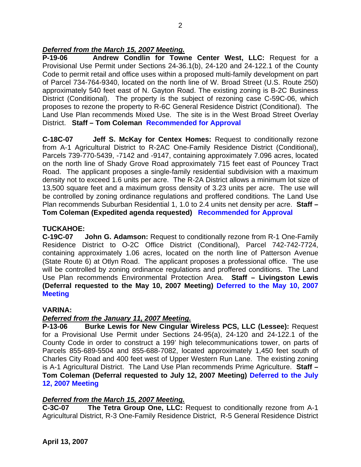## *Deferred from the March 15, 2007 Meeting.*

**P-19-06 Andrew Condlin for Towne Center West, LLC:** Request for a Provisional Use Permit under Sections 24-36.1(b), 24-120 and 24-122.1 of the County Code to permit retail and office uses within a proposed multi-family development on part of Parcel 734-764-9340, located on the north line of W. Broad Street (U.S. Route 250) approximately 540 feet east of N. Gayton Road. The existing zoning is B-2C Business District (Conditional). The property is the subject of rezoning case C-59C-06, which proposes to rezone the property to R-6C General Residence District (Conditional). The Land Use Plan recommends Mixed Use. The site is in the West Broad Street Overlay District. **Staff – Tom Coleman Recommended for Approval** 

**C-18C-07 Jeff S. McKay for Centex Homes:** Request to conditionally rezone from A-1 Agricultural District to R-2AC One-Family Residence District (Conditional), Parcels 739-770-5439, -7142 and -9147, containing approximately 7.096 acres, located on the north line of Shady Grove Road approximately 715 feet east of Pouncey Tract Road. The applicant proposes a single-family residential subdivision with a maximum density not to exceed 1.6 units per acre. The R-2A District allows a minimum lot size of 13,500 square feet and a maximum gross density of 3.23 units per acre. The use will be controlled by zoning ordinance regulations and proffered conditions. The Land Use Plan recommends Suburban Residential 1, 1.0 to 2.4 units net density per acre. **Staff – Tom Coleman (Expedited agenda requested) Recommended for Approval** 

# **TUCKAHOE:**

**C-19C-07 John G. Adamson:** Request to conditionally rezone from R-1 One-Family Residence District to O-2C Office District (Conditional), Parcel 742-742-7724, containing approximately 1.06 acres, located on the north line of Patterson Avenue (State Route 6) at Otlyn Road. The applicant proposes a professional office. The use will be controlled by zoning ordinance regulations and proffered conditions. The Land Use Plan recommends Environmental Protection Area. **Staff – Livingston Lewis (Deferral requested to the May 10, 2007 Meeting) Deferred to the May 10, 2007 Meeting**

### **VARINA:**

### *Deferred from the January 11, 2007 Meeting.*

**P-13-06 Burke Lewis for New Cingular Wireless PCS, LLC (Lessee):** Request for a Provisional Use Permit under Sections 24-95(a), 24-120 and 24-122.1 of the County Code in order to construct a 199' high telecommunications tower, on parts of Parcels 855-689-5504 and 855-688-7082, located approximately 1,450 feet south of Charles City Road and 400 feet west of Upper Western Run Lane. The existing zoning is A-1 Agricultural District. The Land Use Plan recommends Prime Agriculture. **Staff – Tom Coleman (Deferral requested to July 12, 2007 Meeting) Deferred to the July 12, 2007 Meeting**

### *Deferred from the March 15, 2007 Meeting.*

**C-3C-07 The Tetra Group One, LLC:** Request to conditionally rezone from A-1 Agricultural District, R-3 One-Family Residence District, R-5 General Residence District